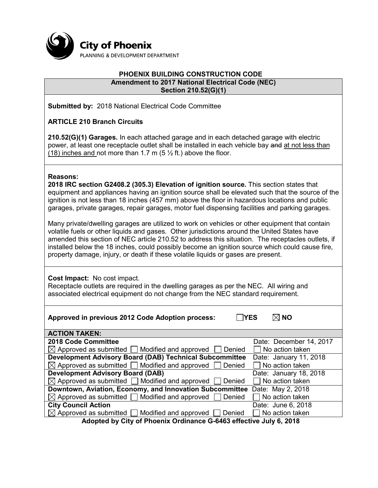

#### **PHOENIX BUILDING CONSTRUCTION CODE Amendment to 2017 National Electrical Code (NEC) Section 210.52(G)(1)**

**Submitted by:** 2018 National Electrical Code Committee

**ARTICLE 210 Branch Circuits**

**210.52(G)(1) Garages.** In each attached garage and in each detached garage with electric power, at least one receptacle outlet shall be installed in each vehicle bay and at not less than (18) inches and not more than 1.7 m (5  $\frac{1}{2}$  ft.) above the floor.

#### **Reasons:**

**2018 IRC section G2408.2 (305.3) Elevation of ignition source.** This section states that equipment and appliances having an ignition source shall be elevated such that the source of the ignition is not less than 18 inches (457 mm) above the floor in hazardous locations and public garages, private garages, repair garages, motor fuel dispensing facilities and parking garages.

Many private/dwelling garages are utilized to work on vehicles or other equipment that contain volatile fuels or other liquids and gases. Other jurisdictions around the United States have amended this section of NEC article 210.52 to address this situation. The receptacles outlets, if installed below the 18 inches, could possibly become an ignition source which could cause fire, property damage, injury, or death if these volatile liquids or gases are present.

**Cost Impact:** No cost impact.

Receptacle outlets are required in the dwelling garages as per the NEC. All wiring and associated electrical equipment do not change from the NEC standard requirement.

| <b>TYES</b><br>Approved in previous 2012 Code Adoption process:              | $\boxtimes$ No          |  |
|------------------------------------------------------------------------------|-------------------------|--|
| <b>ACTION TAKEN:</b>                                                         |                         |  |
| 2018 Code Committee                                                          | Date: December 14, 2017 |  |
| $\boxtimes$ Approved as submitted $\Box$ Modified and approved<br>Denied     | No action taken         |  |
| <b>Development Advisory Board (DAB) Technical Subcommittee</b>               | Date: January 11, 2018  |  |
| $\boxtimes$ Approved as submitted $\Box$ Modified and approved<br>Denied     | $\Box$ No action taken  |  |
| <b>Development Advisory Board (DAB)</b>                                      | Date: January 18, 2018  |  |
| $\boxtimes$ Approved as submitted $\Box$ Modified and approved<br>Denied     | No action taken         |  |
| Downtown, Aviation, Economy, and Innovation Subcommittee                     | Date: May 2, 2018       |  |
| $\boxtimes$ Approved as submitted $\Box$ Modified and approved [<br>Denied   | No action taken         |  |
| <b>City Council Action</b>                                                   | Date: June 6, 2018      |  |
| $\boxtimes$ Approved as submitted $\Box$ Modified and approved $\Box$ Denied | No action taken         |  |
| Adopted by City of Phoenix Ordinance G-6463 effective July 6, 2018           |                         |  |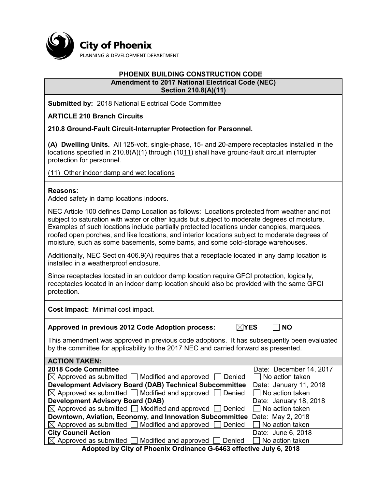

#### **PHOENIX BUILDING CONSTRUCTION CODE Amendment to 2017 National Electrical Code (NEC) Section 210.8(A)(11)**

**Submitted by:** 2018 National Electrical Code Committee

**ARTICLE 210 Branch Circuits**

**210.8 Ground-Fault Circuit-Interrupter Protection for Personnel.**

**(A) Dwelling Units.** All 125-volt, single-phase, 15- and 20-ampere receptacles installed in the locations specified in 210.8(A)(1) through (4011) shall have ground-fault circuit interrupter protection for personnel.

(11) Other indoor damp and wet locations

# **Reasons:**

Added safety in damp locations indoors.

NEC Article 100 defines Damp Location as follows: Locations protected from weather and not subject to saturation with water or other liquids but subject to moderate degrees of moisture. Examples of such locations include partially protected locations under canopies, marquees, roofed open porches, and like locations, and interior locations subject to moderate degrees of moisture, such as some basements, some barns, and some cold-storage warehouses.

Additionally, NEC Section 406.9(A) requires that a receptacle located in any damp location is installed in a weatherproof enclosure.

Since receptacles located in an outdoor damp location require GFCI protection, logically, receptacles located in an indoor damp location should also be provided with the same GFCI protection.

**Cost Impact:** Minimal cost impact.

**Approved in previous 2012 Code Adoption process:**  $\boxtimes$  **YES**  $\Box$  NO

This amendment was approved in previous code adoptions. It has subsequently been evaluated by the committee for applicability to the 2017 NEC and carried forward as presented.

| <b>ACTION TAKEN:</b>                                                            |                         |  |
|---------------------------------------------------------------------------------|-------------------------|--|
| 2018 Code Committee                                                             | Date: December 14, 2017 |  |
| $\boxtimes$ Approved as submitted $\Box$ Modified and approved $\Box$ Denied    | $\Box$ No action taken  |  |
| <b>Development Advisory Board (DAB) Technical Subcommittee</b>                  | Date: January 11, 2018  |  |
| $\boxtimes$ Approved as submitted $\Box$ Modified and approved $\Box$ Denied    | $\Box$ No action taken  |  |
| <b>Development Advisory Board (DAB)</b>                                         | Date: January 18, 2018  |  |
| $\boxtimes$ Approved as submitted $\Box$ Modified and approved $\Box$ Denied    | $\Box$ No action taken  |  |
| Downtown, Aviation, Economy, and Innovation Subcommittee                        | Date: May 2, 2018       |  |
| $\boxtimes$ Approved as submitted $\Box$ Modified and approved $\Box$ Denied    | $\Box$ No action taken  |  |
| <b>City Council Action</b>                                                      | Date: June 6, 2018      |  |
| $\boxtimes$ Approved as submitted $\Box$ Modified and approved $\Box$<br>Denied | $\Box$ No action taken  |  |
| Adopted by City of Dhoeniy Ordinance C 6462 offective July 6, 2040              |                         |  |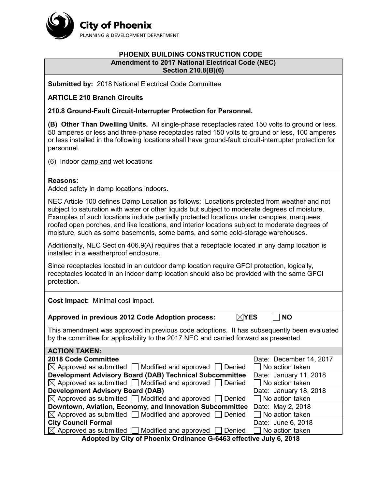

## **PHOENIX BUILDING CONSTRUCTION CODE Amendment to 2017 National Electrical Code (NEC) Section 210.8(B)(6)**

**Submitted by:** 2018 National Electrical Code Committee

**ARTICLE 210 Branch Circuits**

**210.8 Ground-Fault Circuit-Interrupter Protection for Personnel.**

**(B) Other Than Dwelling Units.** All single-phase receptacles rated 150 volts to ground or less, 50 amperes or less and three-phase receptacles rated 150 volts to ground or less, 100 amperes or less installed in the following locations shall have ground-fault circuit-interrupter protection for personnel.

(6) Indoor damp and wet locations

## **Reasons:**

Added safety in damp locations indoors.

NEC Article 100 defines Damp Location as follows: Locations protected from weather and not subject to saturation with water or other liquids but subject to moderate degrees of moisture. Examples of such locations include partially protected locations under canopies, marquees, roofed open porches, and like locations, and interior locations subject to moderate degrees of moisture, such as some basements, some barns, and some cold-storage warehouses.

Additionally, NEC Section 406.9(A) requires that a receptacle located in any damp location is installed in a weatherproof enclosure.

Since receptacles located in an outdoor damp location require GFCI protection, logically, receptacles located in an indoor damp location should also be provided with the same GFCI protection.

**Cost Impact:** Minimal cost impact.

| Approved in previous 2012 Code Adoption process: | $\boxtimes$ YES | $\Box$ NO |
|--------------------------------------------------|-----------------|-----------|
|--------------------------------------------------|-----------------|-----------|

This amendment was approved in previous code adoptions. It has subsequently been evaluated by the committee for applicability to the 2017 NEC and carried forward as presented.

| <b>ACTION TAKEN:</b>                                                         |                         |  |
|------------------------------------------------------------------------------|-------------------------|--|
| 2018 Code Committee                                                          | Date: December 14, 2017 |  |
| $\boxtimes$ Approved as submitted $\Box$ Modified and approved<br>Denied     | No action taken         |  |
| <b>Development Advisory Board (DAB) Technical Subcommittee</b>               | Date: January 11, 2018  |  |
| $\boxtimes$ Approved as submitted $\Box$ Modified and approved $\Box$ Denied | No action taken         |  |
| <b>Development Advisory Board (DAB)</b>                                      | Date: January 18, 2018  |  |
| $\boxtimes$ Approved as submitted $\Box$ Modified and approved $\Box$ Denied | No action taken         |  |
| Downtown, Aviation, Economy, and Innovation Subcommittee                     | Date: May 2, 2018       |  |
| $\boxtimes$ Approved as submitted $\Box$ Modified and approved $\Box$ Denied | No action taken         |  |
| <b>City Council Formal</b>                                                   | Date: June 6, 2018      |  |
| $\boxtimes$ Approved as submitted $\Box$ Modified and approved $\Box$ Denied | No action taken         |  |
| Adopted by City of Phoenix Ordinance G-6463 effective July 6, 2018           |                         |  |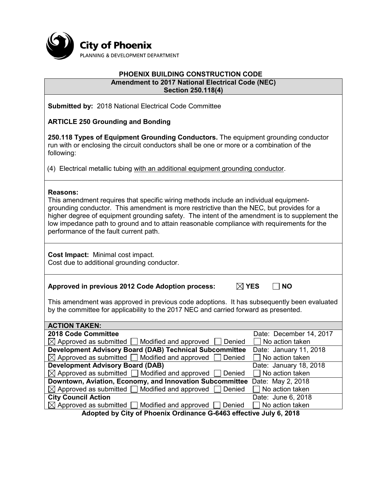

#### **PHOENIX BUILDING CONSTRUCTION CODE Amendment to 2017 National Electrical Code (NEC) Section 250.118(4)**

**Submitted by:** 2018 National Electrical Code Committee

**ARTICLE 250 Grounding and Bonding**

**250.118 Types of Equipment Grounding Conductors.** The equipment grounding conductor run with or enclosing the circuit conductors shall be one or more or a combination of the following:

(4) Electrical metallic tubing with an additional equipment grounding conductor.

## **Reasons:**

This amendment requires that specific wiring methods include an individual equipmentgrounding conductor. This amendment is more restrictive than the NEC, but provides for a higher degree of equipment grounding safety. The intent of the amendment is to supplement the low impedance path to ground and to attain reasonable compliance with requirements for the performance of the fault current path.

**Cost Impact:** Minimal cost impact. Cost due to additional grounding conductor.

**Approved in previous 2012 Code Adoption process: YES NO**

This amendment was approved in previous code adoptions. It has subsequently been evaluated by the committee for applicability to the 2017 NEC and carried forward as presented.

| <b>ACTION TAKEN:</b>                                                       |                                          |  |
|----------------------------------------------------------------------------|------------------------------------------|--|
| 2018 Code Committee                                                        | Date: December 14, 2017                  |  |
| $\boxtimes$ Approved as submitted $\Box$ Modified and approved<br>  Denied | $\overline{\phantom{a}}$ No action taken |  |
| <b>Development Advisory Board (DAB) Technical Subcommittee</b>             | Date: January 11, 2018                   |  |
| $\boxtimes$ Approved as submitted $\Box$ Modified and approved<br>Denied   | $\Box$ No action taken                   |  |
| <b>Development Advisory Board (DAB)</b>                                    | Date: January 18, 2018                   |  |
| $\boxtimes$ Approved as submitted $\Box$ Modified and approved<br>Denied   | $\Box$ No action taken                   |  |
| Downtown, Aviation, Economy, and Innovation Subcommittee                   | Date: May 2, 2018                        |  |
| $\boxtimes$ Approved as submitted $\Box$ Modified and approved<br>Denied   | No action taken                          |  |
| <b>City Council Action</b>                                                 | Date: June 6, 2018                       |  |
| $\boxtimes$ Approved as submitted $\Box$ Modified and approved [<br>Denied | No action taken                          |  |
| Adopted by City of Phoenix Ordinance C 6462 offective July 6, 2010         |                                          |  |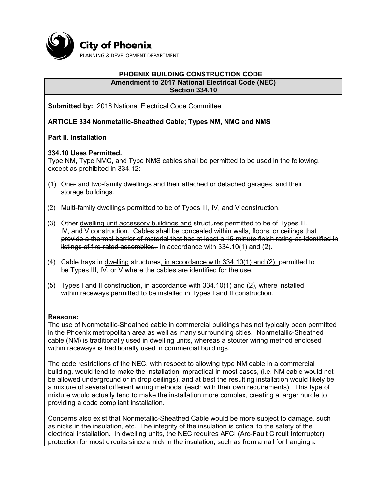

#### **PHOENIX BUILDING CONSTRUCTION CODE Amendment to 2017 National Electrical Code (NEC) Section 334.10**

**Submitted by:** 2018 National Electrical Code Committee

**ARTICLE 334 Nonmetallic-Sheathed Cable; Types NM, NMC and NMS**

**Part II. Installation**

# **334.10 Uses Permitted.**

Type NM, Type NMC, and Type NMS cables shall be permitted to be used in the following, except as prohibited in 334.12:

- (1) One- and two-family dwellings and their attached or detached garages, and their storage buildings.
- (2) Multi-family dwellings permitted to be of Types III, IV, and V construction.
- (3) Other dwelling unit accessory buildings and structures permitted to be of Types III, IV, and V construction. Cables shall be concealed within walls, floors, or ceilings that provide a thermal barrier of material that has at least a 15-minute finish rating as identified in listings of fire-rated assemblies. in accordance with 334.10(1) and (2).
- (4) Cable trays in dwelling structures, in accordance with 334.10(1) and (2), permitted to be Types III, IV, or V where the cables are identified for the use.
- (5) Types I and II construction, in accordance with 334.10(1) and (2), where installed within raceways permitted to be installed in Types I and II construction.

# **Reasons:**

The use of Nonmetallic-Sheathed cable in commercial buildings has not typically been permitted in the Phoenix metropolitan area as well as many surrounding cities. Nonmetallic-Sheathed cable (NM) is traditionally used in dwelling units, whereas a stouter wiring method enclosed within raceways is traditionally used in commercial buildings.

The code restrictions of the NEC, with respect to allowing type NM cable in a commercial building, would tend to make the installation impractical in most cases, (i.e. NM cable would not be allowed underground or in drop ceilings), and at best the resulting installation would likely be a mixture of several different wiring methods, (each with their own requirements). This type of mixture would actually tend to make the installation more complex, creating a larger hurdle to providing a code compliant installation.

Concerns also exist that Nonmetallic-Sheathed Cable would be more subject to damage, such as nicks in the insulation, etc. The integrity of the insulation is critical to the safety of the electrical installation. In dwelling units, the NEC requires AFCI (Arc-Fault Circuit Interrupter) protection for most circuits since a nick in the insulation, such as from a nail for hanging a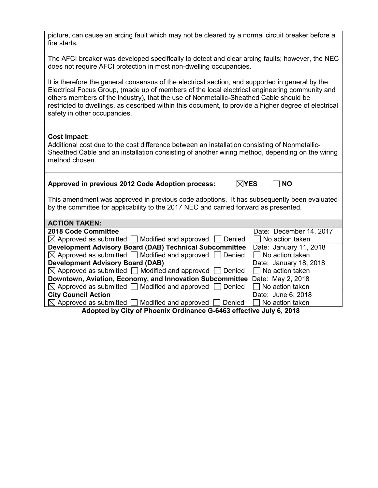| picture, can cause an arcing fault which may not be cleared by a normal circuit breaker before a<br>fire starts.                                                                                                                                                                                                                                                                                                                   |  |  |
|------------------------------------------------------------------------------------------------------------------------------------------------------------------------------------------------------------------------------------------------------------------------------------------------------------------------------------------------------------------------------------------------------------------------------------|--|--|
| The AFCI breaker was developed specifically to detect and clear arcing faults; however, the NEC<br>does not require AFCI protection in most non-dwelling occupancies.                                                                                                                                                                                                                                                              |  |  |
| It is therefore the general consensus of the electrical section, and supported in general by the<br>Electrical Focus Group, (made up of members of the local electrical engineering community and<br>others members of the industry), that the use of Nonmetallic-Sheathed Cable should be<br>restricted to dwellings, as described within this document, to provide a higher degree of electrical<br>safety in other occupancies. |  |  |
| <b>Cost Impact:</b><br>Additional cost due to the cost difference between an installation consisting of Nonmetallic-<br>Sheathed Cable and an installation consisting of another wiring method, depending on the wiring<br>method chosen.                                                                                                                                                                                          |  |  |
| Approved in previous 2012 Code Adoption process:<br>$\boxtimes$ YES<br><b>NO</b>                                                                                                                                                                                                                                                                                                                                                   |  |  |
| This amendment was approved in previous code adoptions. It has subsequently been evaluated<br>by the committee for applicability to the 2017 NEC and carried forward as presented.                                                                                                                                                                                                                                                 |  |  |
| <b>ACTION TAKEN:</b>                                                                                                                                                                                                                                                                                                                                                                                                               |  |  |
| 2018 Code Committee<br>Date: December 14, 2017                                                                                                                                                                                                                                                                                                                                                                                     |  |  |
| $\boxtimes$ Approved as submitted $\Box$ Modified and approved<br>Denied<br>No action taken                                                                                                                                                                                                                                                                                                                                        |  |  |
| <b>Development Advisory Board (DAB) Technical Subcommittee</b><br>Date: January 11, 2018                                                                                                                                                                                                                                                                                                                                           |  |  |
| $\boxtimes$ Approved as submitted<br>Modified and approved<br>No action taken<br>Denied                                                                                                                                                                                                                                                                                                                                            |  |  |
| <b>Development Advisory Board (DAB)</b><br>Date: January 18, 2018                                                                                                                                                                                                                                                                                                                                                                  |  |  |
| Modified and approved<br>$\boxtimes$ Approved as submitted<br>Denied<br>No action taken                                                                                                                                                                                                                                                                                                                                            |  |  |
| Downtown, Aviation, Economy, and Innovation Subcommittee<br>Date: May 2, 2018<br>$\boxtimes$ Approved as submitted<br>Modified and approved<br>No action taken<br>Denied                                                                                                                                                                                                                                                           |  |  |
| <b>City Council Action</b><br>Date: June 6, 2018                                                                                                                                                                                                                                                                                                                                                                                   |  |  |
| $\boxtimes$ Approved as submitted<br>Modified and approved<br>Denied<br>No action taken                                                                                                                                                                                                                                                                                                                                            |  |  |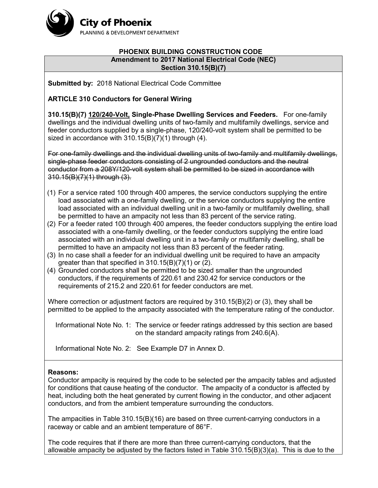

### **PHOENIX BUILDING CONSTRUCTION CODE Amendment to 2017 National Electrical Code (NEC) Section 310.15(B)(7)**

**Submitted by:** 2018 National Electrical Code Committee

# **ARTICLE 310 Conductors for General Wiring**

**310.15(B)(7) 120/240-Volt, Single-Phase Dwelling Services and Feeders.** For one-family dwellings and the individual dwelling units of two-family and multifamily dwellings, service and feeder conductors supplied by a single-phase, 120/240-volt system shall be permitted to be sized in accordance with 310.15(B)(7)(1) through (4).

For one-family dwellings and the individual dwelling units of two-family and multifamily dwellings, single-phase feeder conductors consisting of 2 ungrounded conductors and the neutral conductor from a 208Y/120-volt system shall be permitted to be sized in accordance with 310.15(B)(7)(1) through (3).

- (1) For a service rated 100 through 400 amperes, the service conductors supplying the entire load associated with a one-family dwelling, or the service conductors supplying the entire load associated with an individual dwelling unit in a two-family or multifamily dwelling, shall be permitted to have an ampacity not less than 83 percent of the service rating.
- (2) For a feeder rated 100 through 400 amperes, the feeder conductors supplying the entire load associated with a one-family dwelling, or the feeder conductors supplying the entire load associated with an individual dwelling unit in a two-family or multifamily dwelling, shall be permitted to have an ampacity not less than 83 percent of the feeder rating.
- (3) In no case shall a feeder for an individual dwelling unit be required to have an ampacity greater than that specified in 310.15(B)(7)(1) or (2).
- (4) Grounded conductors shall be permitted to be sized smaller than the ungrounded conductors, if the requirements of 220.61 and 230.42 for service conductors or the requirements of 215.2 and 220.61 for feeder conductors are met.

Where correction or adjustment factors are required by 310.15(B)(2) or (3), they shall be permitted to be applied to the ampacity associated with the temperature rating of the conductor.

Informational Note No. 1: The service or feeder ratings addressed by this section are based on the standard ampacity ratings from 240.6(A).

Informational Note No. 2: See Example D7 in Annex D.

# **Reasons:**

Conductor ampacity is required by the code to be selected per the ampacity tables and adjusted for conditions that cause heating of the conductor. The ampacity of a conductor is affected by heat, including both the heat generated by current flowing in the conductor, and other adjacent conductors, and from the ambient temperature surrounding the conductors.

The ampacities in Table 310.15(B)(16) are based on three current-carrying conductors in a raceway or cable and an ambient temperature of 86°F.

The code requires that if there are more than three current-carrying conductors, that the allowable ampacity be adjusted by the factors listed in Table 310.15(B)(3)(a). This is due to the